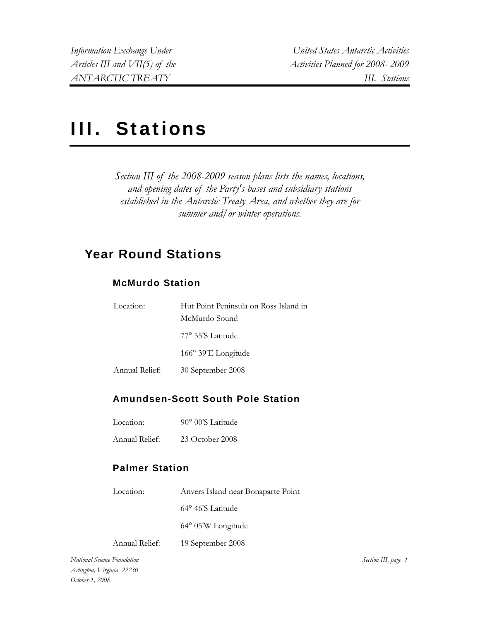# III. Stations

*Section III of the 2008-2009 season plans lists the names, locations, and opening dates of the Party's bases and subsidiary stations established in the Antarctic Treaty Area, and whether they are for summer and/or winter operations.* 

# **Year Round Stations**

#### **McMurdo Station**

| Location:      | Hut Point Peninsula on Ross Island in |
|----------------|---------------------------------------|
|                | McMurdo Sound                         |
|                | 77° 55'S Latitude                     |
|                | 166° 39'E Longitude                   |
| Annual Relief: | 30 September 2008                     |

#### **Amundsen-Scott South Pole Station**

| Location: | 90° 00'S Latitude |
|-----------|-------------------|
|           |                   |

Annual Relief: 23 October 2008

#### **Palmer Station**

| Location:      | Anvers Island near Bonaparte Point |
|----------------|------------------------------------|
|                | $64^{\circ}$ 46'S Latitude         |
|                | $64^{\circ}$ 05'W Longitude        |
| Annual Relief: | 19 September 2008                  |

*National Science Foundation Arlington, Virginia 22230 October 1, 2008*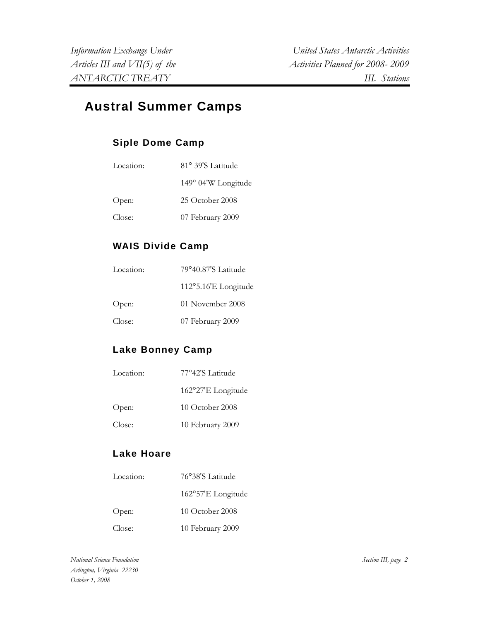# **Austral Summer Camps**

# **Siple Dome Camp**

| Location: | 81° 39'S Latitude   |
|-----------|---------------------|
|           | 149° 04'W Longitude |
| Open:     | 25 October 2008     |
| Close:    | 07 February 2009    |

# **WAIS Divide Camp**

| Location: | 79°40.87'S Latitude  |
|-----------|----------------------|
|           | 112°5.16'E Longitude |
| Open:     | 01 November 2008     |
| Close:    | 07 February 2009     |

# **Lake Bonney Camp**

| Location: | 77°42'S Latitude   |
|-----------|--------------------|
|           | 162°27'E Longitude |
| Open:     | 10 October 2008    |
| Close:    | 10 February 2009   |

#### **Lake Hoare**

| Location: | 76°38'S Latitude   |
|-----------|--------------------|
|           | 162°57'E Longitude |
| Open:     | 10 October 2008    |
| Close:    | 10 February 2009   |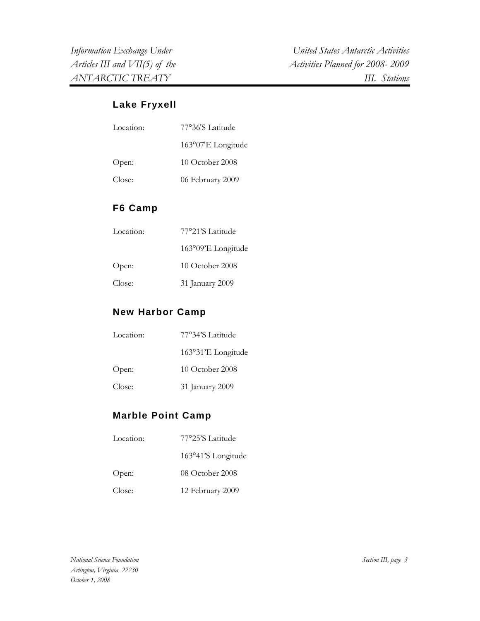#### **Lake Fryxell**

| Location: | 77°36'S Latitude   |
|-----------|--------------------|
|           | 163°07'E Longitude |
| Open:     | 10 October 2008    |
| Close:    | 06 February 2009   |

#### **F6 Camp**

| Location: | 77°21'S Latitude   |
|-----------|--------------------|
|           | 163°09'E Longitude |
| Open:     | 10 October 2008    |
| Close:    | 31 January 2009    |

#### **New Harbor Camp**

| Location: | 77°34'S Latitude   |
|-----------|--------------------|
|           | 163°31'E Longitude |
| Open:     | 10 October 2008    |
| Close:    | 31 January 2009    |

#### **Marble Point Camp**

| Location: | 77°25'S Latitude   |
|-----------|--------------------|
|           | 163°41'S Longitude |
| Open:     | 08 October 2008    |
| Close:    | 12 February 2009   |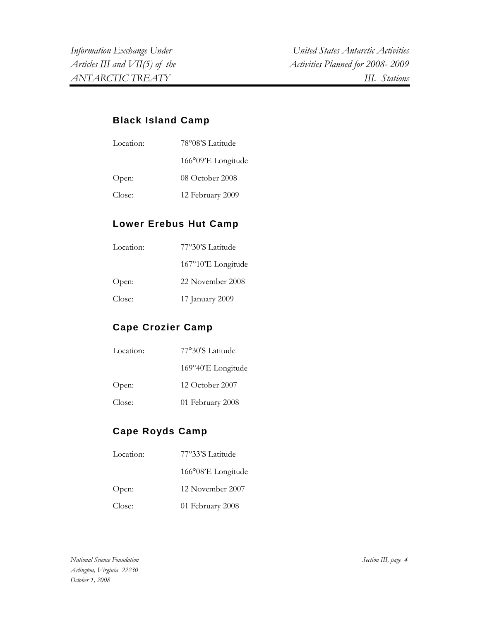#### **Black Island Camp**

| Location: | 78°08'S Latitude   |
|-----------|--------------------|
|           | 166°09'E Longitude |
| Open:     | 08 October 2008    |
| Close:    | 12 February 2009   |

#### **Lower Erebus Hut Camp**

| Location: | 77°30'S Latitude   |
|-----------|--------------------|
|           | 167°10'E Longitude |
| Open:     | 22 November 2008   |
| Close:    | 17 January 2009    |

## **Cape Crozier Camp**

| Location: | 77°30'S Latitude   |
|-----------|--------------------|
|           | 169°40'E Longitude |
| Open:     | 12 October 2007    |
| Close:    | 01 February 2008   |

## **Cape Royds Camp**

| Location: | 77°33'S Latitude   |
|-----------|--------------------|
|           | 166°08'E Longitude |
| Open:     | 12 November 2007   |
| Close:    | 01 February 2008   |